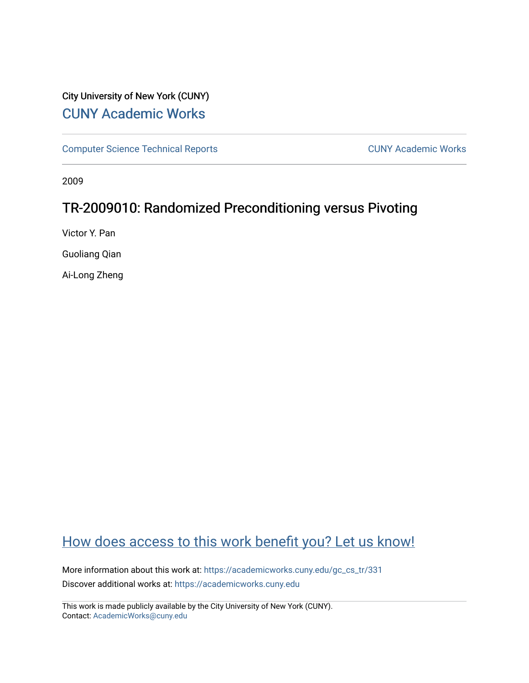# City University of New York (CUNY) [CUNY Academic Works](https://academicworks.cuny.edu/)

[Computer Science Technical Reports](https://academicworks.cuny.edu/gc_cs_tr) **CUNY Academic Works** CUNY Academic Works

2009

# TR-2009010: Randomized Preconditioning versus Pivoting

Victor Y. Pan

Guoliang Qian

Ai-Long Zheng

# [How does access to this work benefit you? Let us know!](http://ols.cuny.edu/academicworks/?ref=https://academicworks.cuny.edu/gc_cs_tr/331)

More information about this work at: [https://academicworks.cuny.edu/gc\\_cs\\_tr/331](https://academicworks.cuny.edu/gc_cs_tr/331)  Discover additional works at: [https://academicworks.cuny.edu](https://academicworks.cuny.edu/?)

This work is made publicly available by the City University of New York (CUNY). Contact: [AcademicWorks@cuny.edu](mailto:AcademicWorks@cuny.edu)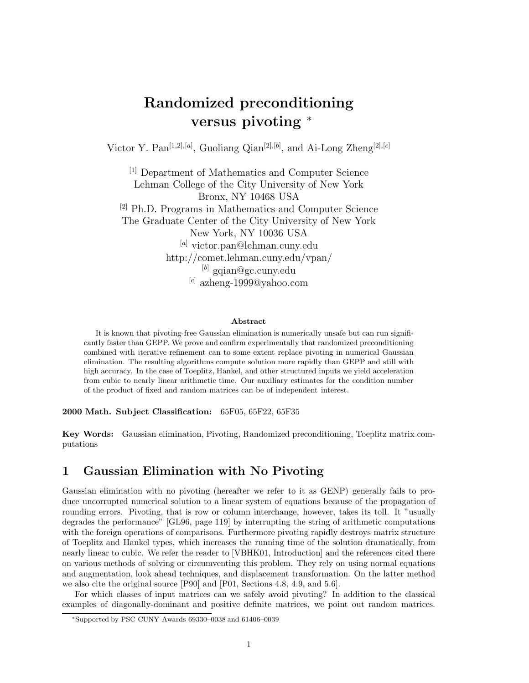# **Randomized preconditioning versus pivoting** <sup>∗</sup>

Victor Y. Pan[1*,*2]*,*[*a*] , Guoliang Qian[2]*,*[*b*] , and Ai-Long Zheng[2]*,*[*c*]

[1] Department of Mathematics and Computer Science Lehman College of the City University of New York Bronx, NY 10468 USA [2] Ph.D. Programs in Mathematics and Computer Science The Graduate Center of the City University of New York New York, NY 10036 USA [*a*] victor.pan@lehman.cuny.edu http://comet.lehman.cuny.edu/vpan/ [*b*] gqian@gc.cuny.edu [*c*] azheng-1999@yahoo.com

#### **Abstract**

It is known that pivoting-free Gaussian elimination is numerically unsafe but can run significantly faster than GEPP. We prove and confirm experimentally that randomized preconditioning combined with iterative refinement can to some extent replace pivoting in numerical Gaussian elimination. The resulting algorithms compute solution more rapidly than GEPP and still with high accuracy. In the case of Toeplitz, Hankel, and other structured inputs we yield acceleration from cubic to nearly linear arithmetic time. Our auxiliary estimates for the condition number of the product of fixed and random matrices can be of independent interest.

**2000 Math. Subject Classification:** 65F05, 65F22, 65F35

**Key Words:** Gaussian elimination, Pivoting, Randomized preconditioning, Toeplitz matrix computations

### **1 Gaussian Elimination with No Pivoting**

Gaussian elimination with no pivoting (hereafter we refer to it as GENP) generally fails to produce uncorrupted numerical solution to a linear system of equations because of the propagation of rounding errors. Pivoting, that is row or column interchange, however, takes its toll. It "usually degrades the performance" [GL96, page 119] by interrupting the string of arithmetic computations with the foreign operations of comparisons. Furthermore pivoting rapidly destroys matrix structure of Toeplitz and Hankel types, which increases the running time of the solution dramatically, from nearly linear to cubic. We refer the reader to [VBHK01, Introduction] and the references cited there on various methods of solving or circumventing this problem. They rely on using normal equations and augmentation, look ahead techniques, and displacement transformation. On the latter method we also cite the original source [P90] and [P01, Sections 4.8, 4.9, and 5.6].

For which classes of input matrices can we safely avoid pivoting? In addition to the classical examples of diagonally-dominant and positive definite matrices, we point out random matrices.

<sup>∗</sup>Supported by PSC CUNY Awards 69330–0038 and 61406–0039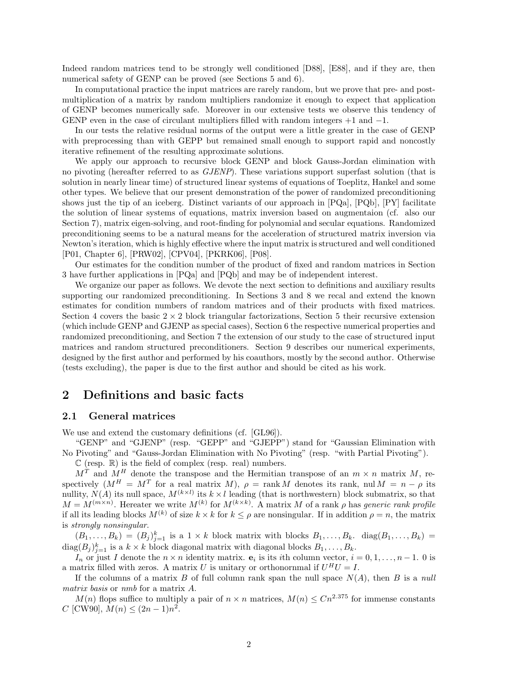Indeed random matrices tend to be strongly well conditioned [D88], [E88], and if they are, then numerical safety of GENP can be proved (see Sections 5 and 6).

In computational practice the input matrices are rarely random, but we prove that pre- and postmultiplication of a matrix by random multipliers randomize it enough to expect that application of GENP becomes numerically safe. Moreover in our extensive tests we observe this tendency of GENP even in the case of circulant multipliers filled with random integers  $+1$  and  $-1$ .

In our tests the relative residual norms of the output were a little greater in the case of GENP with preprocessing than with GEPP but remained small enough to support rapid and noncostly iterative refinement of the resulting approximate solutions.

We apply our approach to recursive block GENP and block Gauss-Jordan elimination with no pivoting (hereafter referred to as *GJENP*). These variations support superfast solution (that is solution in nearly linear time) of structured linear systems of equations of Toeplitz, Hankel and some other types. We believe that our present demonstration of the power of randomized preconditioning shows just the tip of an iceberg. Distinct variants of our approach in [PQa], [PQb], [PY] facilitate the solution of linear systems of equations, matrix inversion based on augmentaion (cf. also our Section 7), matrix eigen-solving, and root-finding for polynomial and secular equations. Randomized preconditioning seems to be a natural means for the acceleration of structured matrix inversion via Newton's iteration, which is highly effective where the input matrix is structured and well conditioned [P01, Chapter 6], [PRW02], [CPV04], [PKRK06], [P08].

Our estimates for the condition number of the product of fixed and random matrices in Section 3 have further applications in [PQa] and [PQb] and may be of independent interest.

We organize our paper as follows. We devote the next section to definitions and auxiliary results supporting our randomized preconditioning. In Sections 3 and 8 we recal and extend the known estimates for condition numbers of random matrices and of their products with fixed matrices. Section 4 covers the basic  $2 \times 2$  block triangular factorizations, Section 5 their recursive extension (which include GENP and GJENP as special cases), Section 6 the respective numerical properties and randomized preconditioning, and Section 7 the extension of our study to the case of structured input matrices and random structured preconditioners. Section 9 describes our numerical experiments, designed by the first author and performed by his coauthors, mostly by the second author. Otherwise (tests excluding), the paper is due to the first author and should be cited as his work.

### **2 Definitions and basic facts**

### **2.1 General matrices**

We use and extend the customary definitions (cf. [GL96]).

"GENP" and "GJENP" (resp. "GEPP" and "GJEPP") stand for "Gaussian Elimination with No Pivoting" and "Gauss-Jordan Elimination with No Pivoting" (resp. "with Partial Pivoting").

 $\mathbb C$  (resp.  $\mathbb R$ ) is the field of complex (resp. real) numbers.

 $M<sup>T</sup>$  and  $M<sup>H</sup>$  denote the transpose and the Hermitian transpose of an  $m \times n$  matrix M, respectively  $(M^H = M^T)$  for a real matrix M,  $\rho = \text{rank } M$  denotes its rank, nul  $M = n - \rho$  its nullity,  $N(A)$  its null space,  $M^{(k \times l)}$  its  $k \times l$  leading (that is northwestern) block submatrix, so that  $M = M^{(m \times n)}$ . Hereater we write  $M^{(k)}$  for  $M^{(k \times k)}$ . A matrix M of a rank  $\rho$  has *generic rank profile* if all its leading blocks  $M^{(k)}$  of size  $k \times k$  for  $k \leq \rho$  are nonsingular. If in addition  $\rho = n$ , the matrix is *strongly nonsingular*.

 $(B_1,\ldots,B_k)=(B_j)_{j=1}^k$  is a  $1\times k$  block matrix with blocks  $B_1,\ldots,B_k$ . diag $(B_1,\ldots,B_k)$  $\text{diag}(B_j)_{j=1}^k$  is a  $k \times k$  block diagonal matrix with diagonal blocks  $B_1, \ldots, B_k$ .

In or just I denote the  $n \times n$  identity matrix.  $\mathbf{e}_i$  is its *i*th column vector,  $i = 0, 1, \ldots, n - 1$ . 0 is a matrix filled with zeros. A matrix U is unitary or orthonornmal if  $U^H U = I$ .

If the columns of a matrix B of full column rank span the null space  $N(A)$ , then B is a *null matrix basis* or *nmb* for a matrix A.

 $M(n)$  flops suffice to multiply a pair of  $n \times n$  matrices,  $M(n) \leq C n^{2.375}$  for immense constants  $C$  [CW90],  $M(n) \leq (2n-1)n^2$ .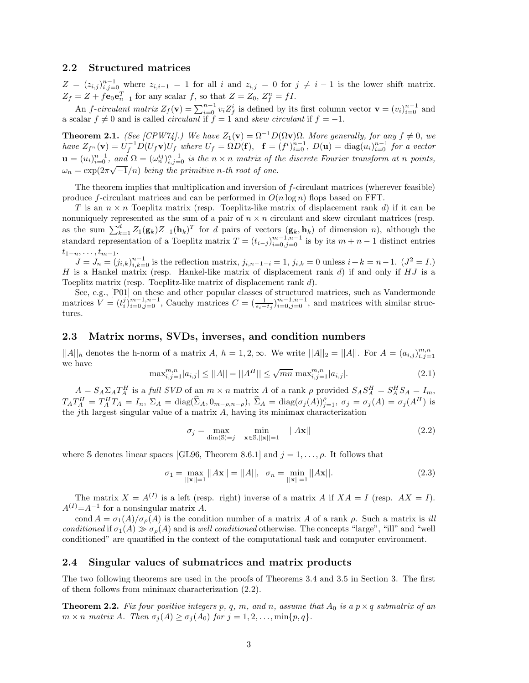#### **2.2 Structured matrices**

 $Z = (z_{i,j})_{i,j=0}^{n-1}$  where  $z_{i,i-1} = 1$  for all i and  $z_{i,j} = 0$  for  $j \neq i-1$  is the lower shift matrix.  $Z_f = Z + f \mathbf{e}_0 \mathbf{e}_{n-1}^T$  for any scalar f, so that  $Z = Z_0$ ,  $Z_f^n = fI$ .

An *f*-*circulant matrix*  $Z_f(\mathbf{v}) = \sum_{i=0}^{n-1} v_i Z_f^i$  is defined by its first column vector  $\mathbf{v} = (v_i)_{i=0}^{n-1}$  and a scalar  $f \neq 0$  and is called *circulant* if  $f = 1$  and *skew circulant* if  $f = -1$ .

**Theorem 2.1.** *(See [CPW74].)* We have  $Z_1(\mathbf{v}) = \Omega^{-1}D(\Omega \mathbf{v})\Omega$ . More generally, for any  $f \neq 0$ , we  $h$ ave  $Z_{f^n}(\mathbf{v}) = U_f^{-1} D(U_f \mathbf{v}) U_f$  where  $U_f = \Omega D(\mathbf{f}), \quad \mathbf{f} = (f^i)_{i=0}^{n-1}, D(\mathbf{u}) = \text{diag}(u_i)_{i=0}^{n-1}$  for a vector  $\mathbf{u} = (u_i)_{i=0}^{n-1}$ , and  $\Omega = (\omega_n^{ij})_{i,j=0}^{n-1}$  is the  $n \times n$  matrix of the discrete Fourier transform at n points,  $\omega_n = \frac{\alpha_{i,j=0}}{\alpha_{n,j=0}}$ , and  $\frac{\alpha_2 - \alpha_{n,j=0}}{\alpha_{n,j=0}}$  is the *n*  $\alpha$  *n* matrix by a

The theorem implies that multiplication and inversion of f-circulant matrices (wherever feasible) produce f-circulant matrices and can be performed in  $O(n \log n)$  flops based on FFT.

T is an  $n \times n$  Toeplitz matrix (resp. Toeplitz-like matrix of displacement rank d) if it can be nonuniquely represented as the sum of a pair of  $n \times n$  circulant and skew circulant matrices (resp. as the sum  $\sum_{k=1}^d Z_1(\mathbf{g}_k)Z_{-1}(\mathbf{h}_k)^T$  for d pairs of vectors  $(\mathbf{g}_k, \mathbf{h}_k)$  of dimension n), although the standard representation of a Toeplitz matrix  $T = (t_{i-j})_{i=0,j=0}^{m-1,n-1}$  is by its  $m+n-1$  distinct entries  $t_{1-n},\ldots,t_{m-1}.$ 

 $J = J_n = (j_{i,k})_{i,k=0}^{n-1}$  is the reflection matrix,  $j_{i,n-1-i} = 1$ ,  $j_{i,k} = 0$  unless  $i+k = n-1$ .  $(J^2 = I)$ H is a Hankel matrix (resp. Hankel-like matrix of displacement rank  $d$ ) if and only if  $HJ$  is a Toeplitz matrix (resp. Toeplitz-like matrix of displacement rank d).

See, e.g., [P01] on these and other popular classes of structured matrices, such as Vandermonde matrices  $V = (t_i^j)_{i=0,j=0}^{m-1,n-1}$ , Cauchy matrices  $C = (\frac{1}{s_i-t_j})_{i=0,j=0}^{m-1,n-1}$ , and matrices with similar structures.

### **2.3 Matrix norms, SVDs, inverses, and condition numbers**

 $||A||_h$  denotes the h-norm of a matrix A,  $h = 1, 2, \infty$ . We write  $||A||_2 = ||A||$ . For  $A = (a_{i,j})_{i,j=1}^{m,n}$ we have

$$
\max_{i,j=1}^{m,n} |a_{i,j}| \le ||A|| = ||A^H|| \le \sqrt{mn} \max_{i,j=1}^{m,n} |a_{i,j}|.
$$
 (2.1)

 $A = S_A \Sigma_A T_A^H$  is a *full SVD* of an  $m \times n$  matrix A of a rank  $\rho$  provided  $S_A S_A^H = S_A^H S_A = I_m$ ,  $T_A T_A^H = T_A^H T_A = I_n$ ,  $\Sigma_A = \text{diag}(\widehat{\Sigma}_A, 0_{m-\rho,n-\rho}),$   $\widehat{\Sigma}_A = \text{diag}(\sigma_j(A))_{j=1}^{\rho},$   $\sigma_j = \sigma_j(A) = \sigma_j(A^H)$  is the jth largest singular value of a matrix  $A$ , having its minimax characterization

$$
\sigma_j = \max_{\dim(\mathbb{S}) = j} \min_{\mathbf{x} \in \mathbb{S}, ||\mathbf{x}|| = 1} ||A\mathbf{x}|| \tag{2.2}
$$

where S denotes linear spaces [GL96, Theorem 8.6.1] and  $j = 1, \ldots, \rho$ . It follows that

$$
\sigma_1 = \max_{||\mathbf{x}||=1} ||A\mathbf{x}|| = ||A||, \quad \sigma_n = \min_{||\mathbf{x}||=1} ||A\mathbf{x}||. \tag{2.3}
$$

The matrix  $X = A^{(I)}$  is a left (resp. right) inverse of a matrix A if  $XA = I$  (resp.  $AX = I$ ).  $A^{(I)} = A^{-1}$  for a nonsingular matrix A.

cond  $A = \sigma_1(A)/\sigma_o(A)$  is the condition number of a matrix A of a rank  $\rho$ . Such a matrix is *ill conditioned* if  $\sigma_1(A) \gg \sigma_2(A)$  and is *well conditioned* otherwise. The concepts "large", "ill" and "well" conditioned" are quantified in the context of the computational task and computer environment.

### **2.4 Singular values of submatrices and matrix products**

The two following theorems are used in the proofs of Theorems 3.4 and 3.5 in Section 3. The first of them follows from minimax characterization (2.2).

**Theorem 2.2.** *Fix four positive integers* p, q, m, and n, assume that  $A_0$  *is a*  $p \times q$  *submatrix of an*  $m \times n$  *matrix* A. Then  $\sigma_j(A) \geq \sigma_j(A_0)$  for  $j = 1, 2, \ldots, \min\{p, q\}.$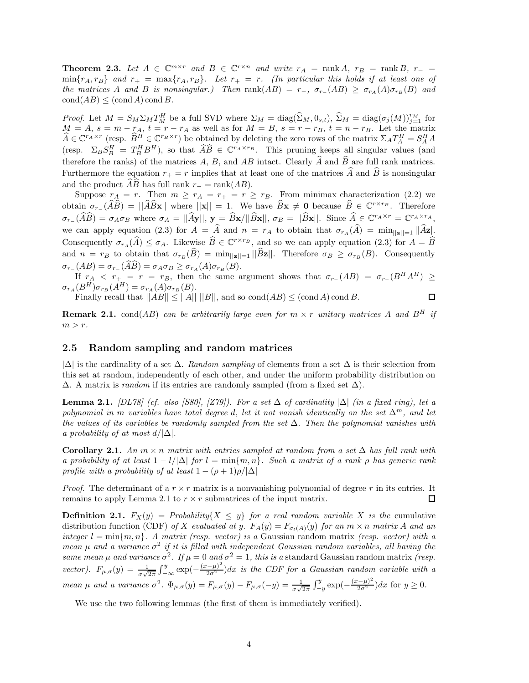**Theorem 2.3.** Let  $A \in \mathbb{C}^{m \times r}$  and  $B \in \mathbb{C}^{r \times n}$  and write  $r_A = \text{rank } A$ ,  $r_B = \text{rank } B$ ,  $r_- =$  $\min\{r_A, r_B\}$  and  $r_+ = \max\{r_A, r_B\}$ . Let  $r_+ = r$ . (In particular this holds if at least one of *the matrices* A *and* B *is nonsingular.)* Then  $\text{rank}(AB) = r_{-}$ ,  $\sigma_{r_{-}}(AB) \geq \sigma_{r_A}(A)\sigma_{r_B}(B)$  and  $\text{cond}(AB) \leq (\text{cond }A) \text{ cond }B.$ 

*Proof.* Let  $M = S_M \Sigma_M T_M^H$  be a full SVD where  $\Sigma_M = \text{diag}(\widehat{\Sigma}_M, 0_{s,t}), \widehat{\Sigma}_M = \text{diag}(\sigma_j(M))_{j=1}^{r_M}$  for  $M = A$ ,  $s = m - r<sub>A</sub>$ ,  $t = r - r<sub>A</sub>$  as well as for  $M = B$ ,  $s = r - r<sub>B</sub>$ ,  $t = n - r<sub>B</sub>$ . Let the matrix  $\widehat{A} \in \mathbb{C}^{r_A \times r}$  (resp.  $\widehat{B}^H \in \mathbb{C}^{r_B \times r}$ ) be obtained by deleting the zero rows of the matrix  $\Sigma_A T_A^H = S_A^H A$ (resp.  $\Sigma_B S_B^H = T_B^H B^H$ ), so that  $\widehat{A}\widehat{B} \in \mathbb{C}^{r_A \times r_B}$ . This pruning keeps all singular values (and therefore the ranks) of the matrices  $A, B$ , and  $AB$  intact. Clearly  $A$  and  $B$  are full rank matrices. Furthermore the equation  $r_+ = r$  implies that at least one of the matrices A and B is nonsingular and the product  $AB$  has full rank  $r_-=$  rank $(AB)$ .

Suppose  $r_A = r$ . Then  $m \ge r_A = r_+ = r \ge r_B$ . From minimax characterization (2.2) we obtain  $\sigma_{r-}(\widehat{A}\widehat{B}) = ||\widehat{A}\widehat{B}x||$  where  $||x|| = 1$ . We have  $\widehat{B}x \neq 0$  because  $\widehat{B} \in \mathbb{C}^{r \times r_B}$ . Therefore  $\sigma_{r-}(\widehat{A}\widehat{B}) = \sigma_A \sigma_B$  where  $\sigma_A = ||\widehat{A}\mathbf{y}||, \mathbf{y} = \widehat{B}\mathbf{x}/||\widehat{B}\mathbf{x}||, \sigma_B = ||\widehat{B}\mathbf{x}||.$  Since  $\widehat{A} \in \mathbb{C}^{r_A \times r} = \mathbb{C}^{r_A \times r_A},$ we can apply equation (2.3) for  $A = A$  and  $n = r_A$  to obtain that  $\sigma_{r_A}(A) = \min_{\vert \vert \mathbf{z} \vert = 1} \vert \vert A\mathbf{z} \vert$ . Consequently  $\sigma_{r_A}(\hat{A}) \leq \sigma_A$ . Likewise  $\hat{B} \in \mathbb{C}^{r \times r_B}$ , and so we can apply equation (2.3) for  $A = \hat{B}$ and  $n = r_B$  to obtain that  $\sigma_{r_B}(B) = \min_{\vert \vert \mathbf{z} \vert \vert = 1} \vert \vert B\mathbf{z} \vert \vert$ . Therefore  $\sigma_B \geq \sigma_{r_B}(B)$ . Consequently  $\sigma_{r-}(AB) = \sigma_{r-}(AB) = \sigma_A \sigma_B \ge \sigma_{r_A}(A) \sigma_{r_B}(B).$ 

If  $r_A < r_+ = r = r_B$ , then the same argument shows that  $\sigma_{r_-}(AB) = \sigma_{r_-}(B^H A^H) \ge$  $\sigma_{r_A}(B^H)\sigma_{r_B}(A^H) = \sigma_{r_A}(A)\sigma_{r_B}(B).$  $\Box$ 

Finally recall that  $||AB|| \le ||A|| ||B||$ , and so  $\text{cond}(AB) \le (\text{cond }A) \text{cond }B$ .

**Remark 2.1.** cond(AB) can be arbitrarily large even for  $m \times r$  unitary matrices A and  $B<sup>H</sup>$  if  $m>r$ .

### **2.5 Random sampling and random matrices**

|∆| is the cardinality of a set ∆. *Random sampling* of elements from a set ∆ is their selection from this set at random, independently of each other, and under the uniform probability distribution on  $\Delta$ . A matrix is *random* if its entries are randomly sampled (from a fixed set  $\Delta$ ).

**Lemma 2.1.** *[DL78]* (cf. also [S80], [Z79]). For a set  $\Delta$  of cardinality  $|\Delta|$  (in a fixed ring), let a *polynomial in* m *variables have total degree d, let it not vanish identically on the set*  $\Delta^m$ *, and let the values of its variables be randomly sampled from the set* ∆*. Then the polynomial vanishes with a probability of at most* d/|∆|*.*

**Corollary 2.1.** *An*  $m \times n$  *matrix with entries sampled at random from a set*  $\Delta$  *has full rank with a probability of at least*  $1 - l/\Delta$  *for*  $l = \min\{m, n\}$ *. Such a matrix of a rank*  $\rho$  *has generic rank profile with a probability of at least*  $1 - (\rho + 1)\rho/|\Delta|$ 

*Proof.* The determinant of a  $r \times r$  matrix is a nonvanishing polynomial of degree r in its entries. It remains to apply Lemma 2.1 to  $r \times r$  submatrices of the input matrix.  $\Box$ 

**Definition 2.1.**  $F_X(y) =$  *Probability*{ $X \leq y$ } *for a real random variable* X *is the* cumulative distribution function (CDF) of X evaluated at y.  $F_A(y) = F_{\sigma_l(A)}(y)$  for an  $m \times n$  matrix A and an *integer*  $l = \min\{m, n\}$ . A matrix *(resp. vector) is a* Gaussian random matrix *(resp. vector) with a mean*  $\mu$  *and a variance*  $\sigma^2$  *if it is filled with independent Gaussian random variables, all having the same mean*  $\mu$  *and variance*  $\sigma^2$ *. If*  $\mu = 0$  *and*  $\sigma^2 = 1$ *, this is a* standard Gaussian random matrix *(resp. vector*).  $F_{\mu,\sigma}(y) = \frac{1}{\sigma\sqrt{2\pi}} \int_{-\infty}^{y} \exp(-\frac{(x-\mu)^2}{2\sigma^2})dx$  *is the CDF for a Gaussian random variable with a mean*  $\mu$  *and a variance*  $\sigma^2$ .  $\Phi_{\mu,\sigma}(y) = F_{\mu,\sigma}(y) - F_{\mu,\sigma}(-y) = \frac{1}{\sigma\sqrt{2\pi}} \int_{-y}^{y} \exp(-\frac{(x-\mu)^2}{2\sigma^2}) dx$  for  $y \ge 0$ .

We use the two following lemmas (the first of them is immediately verified).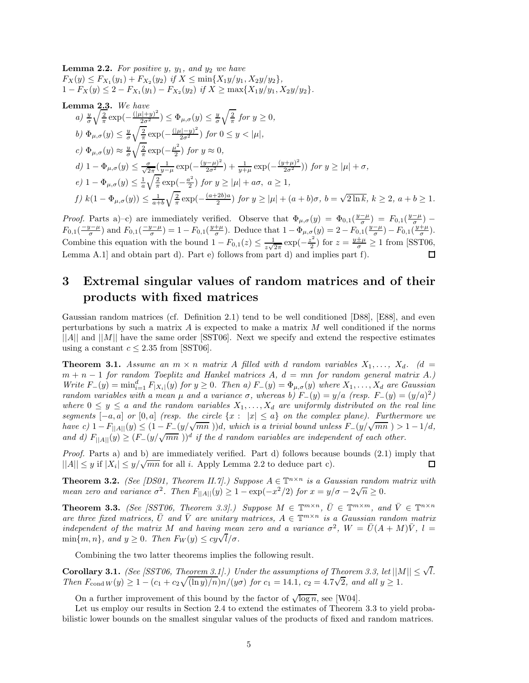**Lemma 2.2.** For positive  $y$ ,  $y_1$ , and  $y_2$  we have  $F_X(y) \leq F_{X_1}(y_1) + F_{X_2}(y_2)$  *if*  $X \leq \min\{X_1y/y_1, X_2y/y_2\}$ ,  $1 - F_X(y) \leq 2 - F_{X_1}(y_1) - F_{X_2}(y_2)$  *if*  $X \geq \max\{X_1y/y_1, X_2y/y_2\}.$ 

**Lemma 2.3.** We have  
\n
$$
a) \frac{y}{\sigma} \sqrt{\frac{2}{\pi}} \exp(-\frac{(|\mu|+y)^2}{2\sigma^2}) \le \Phi_{\mu,\sigma}(y) \le \frac{y}{\sigma} \sqrt{\frac{2}{\pi}} \text{ for } y \ge 0,
$$
  
\n $b) \Phi_{\mu,\sigma}(y) \le \frac{y}{\sigma} \sqrt{\frac{2}{\pi}} \exp(-\frac{(|\mu|-y)^2}{2\sigma^2}) \text{ for } 0 \le y < |\mu|,$   
\n $c) \Phi_{\mu,\sigma}(y) \approx \frac{y}{\sigma} \sqrt{\frac{2}{\pi}} \exp(-\frac{\mu^2}{2}) \text{ for } y \approx 0,$   
\n $d) 1 - \Phi_{\mu,\sigma}(y) \le \frac{\sigma}{\sqrt{2\pi}} (\frac{1}{y-\mu} \exp(-\frac{(y-\mu)^2}{2\sigma^2}) + \frac{1}{y+\mu} \exp(-\frac{(y+\mu)^2}{2\sigma^2})) \text{ for } y \ge |\mu| + \sigma,$   
\n $e) 1 - \Phi_{\mu,\sigma}(y) \le \frac{1}{a} \sqrt{\frac{2}{\pi}} \exp(-\frac{a^2}{2}) \text{ for } y \ge |\mu| + a\sigma, \ a \ge 1,$   
\n $f) k(1 - \Phi_{\mu,\sigma}(y)) \le \frac{1}{a+b} \sqrt{\frac{2}{\pi}} \exp(-\frac{(a+2b)a}{2}) \text{ for } y \ge |\mu| + (a+b)\sigma, \ b = \sqrt{2 \ln k}, \ k \ge 2, \ a+b \ge 1.$ 

*Proof.* Parts a)–c) are immediately verified. Observe that  $\Phi_{\mu,\sigma}(y) = \Phi_{0,1}(\frac{y-\mu}{\sigma}) = F_{0,1}(\frac{y-\mu}{\sigma})$  $F_{0,1}(\frac{-y-\mu}{\sigma})$  and  $F_{0,1}(\frac{-y-\mu}{\sigma})=1-F_{0,1}(\frac{y+\mu}{\sigma})$ . Deduce that  $1-\Phi_{\mu,\sigma}(y)=2-F_{0,1}(\frac{y-\mu}{\sigma})-F_{0,1}(\frac{y+\mu}{\sigma})$ . Combine this equation with the bound  $1 - F_{0,1}(z) \leq \frac{1}{z\sqrt{2\pi}} \exp(-\frac{z^2}{2})$  for  $z = \frac{y \pm \mu}{\sigma} \geq 1$  from [SST06, Lemma A.1] and obtain part d). Part e) follows from part d) and implies part f).

# **3 Extremal singular values of random matrices and of their products with fixed matrices**

Gaussian random matrices (cf. Definition 2.1) tend to be well conditioned [D88], [E88], and even perturbations by such a matrix  $A$  is expected to make a matrix  $M$  well conditioned if the norms  $||A||$  and  $||M||$  have the same order [SST06]. Next we specify and extend the respective estimates using a constant  $c \leq 2.35$  from [SST06].

**Theorem 3.1.** *Assume an*  $m \times n$  *matrix A filled with d random variables*  $X_1, \ldots, X_d$ *. (d =*  $m + n - 1$  *for random Toeplitz and Hankel matrices* A,  $d = mn$  *for random general matrix* A.)  $Write\ F_{-}(y) = \min_{i=1}^d F_{|X_i|}(y)$  *for*  $y \ge 0$ *. Then a)*  $F_{-}(y) = \Phi_{\mu,\sigma}(y)$  *where*  $X_1, \ldots, X_d$  *are Gaussian random variables with a mean*  $\mu$  *and a variance*  $\sigma$ *, whereas b)*  $F_-(y) = y/a$  *(resp.*  $F_-(y) = (y/a)^2$ *)* where  $0 \leq y \leq a$  and the random variables  $X_1, \ldots, X_d$  are uniformly distributed on the real line *segments*  $[-a, a]$  *or*  $[0, a]$  *(resp. the circle*  $\{x : |x| \le a\}$  *on the complex plane). Furthermore we have c)*  $1 - F_{\vert A \vert \vert}(y) \leq (1 - F_{-}(y/\sqrt{mn}))d$ , which is a trivial bound unless  $F_{-}(y/\sqrt{mn}) > 1 - 1/d$ , *and d)*  $F_{\vert A \vert} (y) \geq (F_{-}(y/\sqrt{mn}))^d$  *if the d random variables are independent of each other.* 

*Proof.* Parts a) and b) are immediately verified. Part d) follows because bounds (2.1) imply that  $||A|| \leq y$  if  $|X_i| \leq y/\sqrt{mn}$  for all *i*. Apply Lemma 2.2 to deduce part c). 口

**Theorem 3.2.** *(See [DS01, Theorem II.7].) Suppose*  $A \in \mathbb{T}^{n \times n}$  *is a Gaussian random matrix with mean zero and variance*  $\sigma^2$ *. Then*  $F_{\vert A \vert \vert}(y) \geq 1 - \exp(-x^2/2)$  *for*  $x = y/\sigma - 2\sqrt{n} \geq 0$ *.* 

**Theorem 3.3.** *(See [SST06, Theorem 3.3].) Suppose*  $M \in \mathbb{T}^{m \times n}$ ,  $\overline{U} \in \mathbb{T}^{m \times m}$ , and  $\overline{V} \in \mathbb{T}^{n \times n}$ *are three fixed matrices,*  $\overline{U}$  *and*  $\overline{V}$  *are unitary matrices,*  $A \in \mathbb{T}^{m \times n}$  *is a Gaussian random matrix independent of the matrix* M and having mean zero and a variance  $\sigma^2$ ,  $W = \overline{U}(A + M)\overline{V}$ ,  $l =$  $\min\{m, n\}$ *, and*  $y \geq 0$ *. Then*  $F_W(y) \leq cy\sqrt{l/\sigma}$ *.* 

Combining the two latter theorems implies the following result.

**Corollary 3.1.** *(See [SST06, Theorem 3.1].) Under the assumptions of Theorem 3.3, let*  $||M|| \leq \sqrt{l}$ . *Then*  $F_{\text{cond }W}(y) \geq 1 - (c_1 + c_2 \sqrt{(\ln y)/n})n/(y\sigma)$  *for*  $c_1 = 14.1$ ,  $c_2 = 4.7\sqrt{2}$ , and all  $y \geq 1$ .

On a further improvement of this bound by the factor of  $\sqrt{\log n}$ , see [W04].

Let us employ our results in Section 2.4 to extend the estimates of Theorem 3.3 to yield probabilistic lower bounds on the smallest singular values of the products of fixed and random matrices.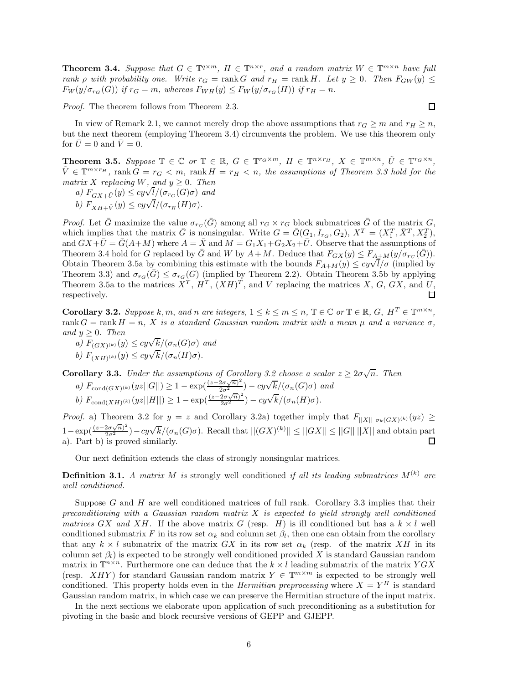**Theorem 3.4.** Suppose that  $G \in \mathbb{T}^{q \times m}$ ,  $H \in \mathbb{T}^{n \times r}$ , and a random matrix  $W \in \mathbb{T}^{m \times n}$  have full *rank*  $\rho$  *with probability one. Write*  $r_G = \text{rank } G$  *and*  $r_H = \text{rank } H$ *. Let*  $y \geq 0$ *. Then*  $F_{GW}(y) \leq$  $F_W(y/\sigma_{r_G}(G))$  *if*  $r_G = m$ , whereas  $F_{WH}(y) \leq F_W(y/\sigma_{r_G}(H))$  *if*  $r_H = n$ .

*Proof.* The theorem follows from Theorem 2.3.

In view of Remark 2.1, we cannot merely drop the above assumptions that  $r_G \geq m$  and  $r_H \geq n$ , but the next theorem (employing Theorem 3.4) circumvents the problem. We use this theorem only for  $\bar{U} = 0$  and  $\bar{V} = 0$ .

**Theorem 3.5.** Suppose  $\mathbb{T} \in \mathbb{C}$  or  $\mathbb{T} \in \mathbb{R}$ ,  $G \in \mathbb{T}^{r_G \times m}$ ,  $H \in \mathbb{T}^{n \times r_H}$ ,  $X \in \mathbb{T}^{m \times n}$ ,  $\tilde{U} \in \mathbb{T}^{r_G \times n}$ ,  $\tilde{V} \in \mathbb{T}^{m \times r_H}$ , rank  $G = r_G < m$ , rank  $H = r_H < n$ , the assumptions of Theorem 3.3 hold for the *matrix* X *replacing* W, and  $y \geq 0$ *. Then* 

*a*)  $F_{GX+\tilde{U}}(y) \le cy\sqrt{l}/(\sigma_{rG}(G)\sigma)$  *and* 

 $\partial$ *b)*  $F_{XH+\tilde{V}}(y) \le cy\sqrt{l}/(\sigma_{r_H}(H)\sigma)$ .<br>  $\partial$ 

*Proof.* Let  $\bar{G}$  maximize the value  $\sigma_{r_G}(\bar{G})$  among all  $r_G \times r_G$  block submatrices  $\bar{G}$  of the matrix  $G$ , which implies that the matrix  $\bar{G}$  is nonsingular. Write  $G = \bar{G}(G_1, I_{r_G}, G_2), X^T = (X_1^T, \bar{X}^T, X_2^T),$ and  $GX+\bar{U}=\bar{G}(A+M)$  where  $A=\bar{X}$  and  $M=G_1X_1+G_2X_2+\bar{U}$ . Observe that the assumptions of Theorem 3.4 hold for G replaced by  $\overline{G}$  and W by  $A + M$ . Deduce that  $F_{GX}(y) \leq F_{A+M}(y/\sigma_{rG}(\overline{G})).$ Theorem 3.4 hold for G replaced by G and W by  $A + M$ . Deduce that  $F_{GX}(y) \leq F_{A+M}(y/\sigma_{r_G}(G))$ .<br>Obtain Theorem 3.5a by combining this estimate with the bounds  $F_{A+M}(y) \leq cy\sqrt{l}/\sigma$  (implied by Theorem 3.3) and  $\sigma_{r_G}(\overline{G}) \leq \sigma_{r_G}(G)$  (implied by Theorem 2.2). Obtain Theorem 3.5b by applying Theorem 3.5a to the matrices  $X^T$ ,  $H^T$ ,  $(XH)^T$ , and V replacing the matrices X, G, GX, and U,  $\Box$ respectively.

**Corollary 3.2.** *Suppose* k, m, and n are integers,  $1 \le k \le m \le n$ ,  $\mathbb{T} \in \mathbb{C}$  or  $\mathbb{T} \in \mathbb{R}$ ,  $G$ ,  $H^T \in \mathbb{T}^{m \times n}$ , rank  $G = \text{rank } H = n$ , X *is a standard Gaussian random matrix with a mean*  $\mu$  *and a variance*  $\sigma$ , *and*  $y > 0$ *. Then* 

*a)*  $F_{(GX)^{(k)}}(y) \le cy\sqrt{k}/(\sigma_n(G)\sigma)$  *and*  $\phi$ )  $F_{(XH)^{(k)}}(y) \le cy\sqrt{k}/(\sigma_n(H)\sigma)$ .<br>*b*)  $F_{(XH)^{(k)}}(y) \le cy\sqrt{k}/(\sigma_n(H)\sigma)$ .

**Corollary 3.3.** *Under the assumptions of Corollary 3.2 choose a scalar*  $z \geq 2\sigma\sqrt{n}$ *. Then* 

**a**)  $F_{\text{cond}(GX)^{(k)}}(yz||G||) \ge 1 - \exp(\frac{(z-2\sigma\sqrt{n})^2}{2\sigma^2}) - cy\sqrt{k}/(\sigma_n(G)\sigma)$  and *b)*  $F_{\text{cond}(XH)^{(k)}}(yz||H||) \geq 1 - \exp(\frac{(z-2\sigma\sqrt{n})^2}{2\sigma^2}) - cy\sqrt{k}/(\sigma_n(H)\sigma)$ *.* 

*Proof.* a) Theorem 3.2 for  $y = z$  and Corollary 3.2a) together imply that  $F_{\vert\vert X\vert\vert \sigma_k(GX)^{(k)}}(yz) \ge$  $1-\exp(\frac{(z-2\sigma\sqrt{n})^2}{2\sigma^2})-cy\sqrt{k}/(\sigma_n(G)\sigma)$ . Recall that  $||(GX)^{(k)}|| \leq ||GX|| \leq ||G|| ||X||$  and obtain part a). Part b) is proved similarly.

Our next definition extends the class of strongly nonsingular matrices.

**Definition 3.1.** *A matrix M is* strongly well conditioned *if all its leading submatrices*  $M^{(k)}$  *are well conditioned.*

Suppose  $G$  and  $H$  are well conditioned matrices of full rank. Corollary 3.3 implies that their *preconditioning with a Gaussian random matrix* X *is expected to yield strongly well conditioned matrices* GX and XH. If the above matrix G (resp. H) is ill conditioned but has a  $k \times l$  well conditioned submatrix F in its row set  $\alpha_k$  and column set  $\beta_l$ , then one can obtain from the corollary that any  $k \times l$  submatrix of the matrix GX in its row set  $\alpha_k$  (resp. of the matrix XH in its column set  $\beta_l$ ) is expected to be strongly well conditioned provided X is standard Gaussian random matrix in  $\mathbb{T}^{n\times n}$ . Furthermore one can deduce that the  $k \times l$  leading submatrix of the matrix  $YGX$ (resp. XHY) for standard Gaussian random matrix  $Y \in \mathbb{T}^{m \times m}$  is expected to be strongly well conditioned. This property holds even in the *Hermitian preprocessing* where  $X = Y<sup>H</sup>$  is standard Gaussian random matrix, in which case we can preserve the Hermitian structure of the input matrix.

In the next sections we elaborate upon application of such preconditioning as a substitution for pivoting in the basic and block recursive versions of GEPP and GJEPP.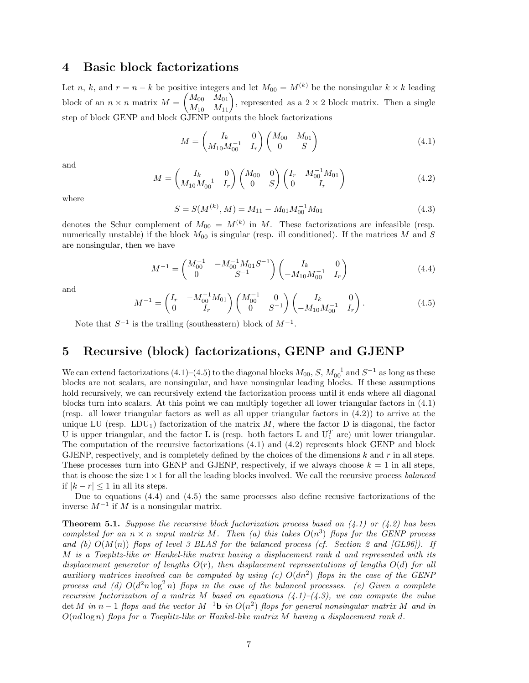### **4 Basic block factorizations**

Let n, k, and  $r = n - k$  be positive integers and let  $M_{00} = M^{(k)}$  be the nonsingular  $k \times k$  leading block of an  $n \times n$  matrix  $M =$  $\begin{pmatrix} M_{00} & M_{01} \\ M_{10} & M_{11} \end{pmatrix}$ , represented as a 2 × 2 block matrix. Then a single step of block GENP and block GJENP outputs the block factorizations

$$
M = \begin{pmatrix} I_k & 0 \\ M_{10} M_{00}^{-1} & I_r \end{pmatrix} \begin{pmatrix} M_{00} & M_{01} \\ 0 & S \end{pmatrix}
$$
 (4.1)

and

$$
M = \begin{pmatrix} I_k & 0 \\ M_{10} M_{00}^{-1} & I_r \end{pmatrix} \begin{pmatrix} M_{00} & 0 \\ 0 & S \end{pmatrix} \begin{pmatrix} I_r & M_{00}^{-1} M_{01} \\ 0 & I_r \end{pmatrix}
$$
(4.2)

where

$$
S = S(M^{(k)}, M) = M_{11} - M_{01} M_{00}^{-1} M_{01}
$$
\n(4.3)

denotes the Schur complement of  $M_{00} = M^{(k)}$  in M. These factorizations are infeasible (resp. numerically unstable) if the block  $M_{00}$  is singular (resp. ill conditioned). If the matrices M and S are nonsingular, then we have

$$
M^{-1} = \begin{pmatrix} M_{00}^{-1} & -M_{00}^{-1} M_{01} S^{-1} \\ 0 & S^{-1} \end{pmatrix} \begin{pmatrix} I_k & 0 \\ -M_{10} M_{00}^{-1} & I_r \end{pmatrix}
$$
(4.4)

and

$$
M^{-1} = \begin{pmatrix} I_r & -M_{00}^{-1} M_{01} \\ 0 & I_r \end{pmatrix} \begin{pmatrix} M_{00}^{-1} & 0 \\ 0 & S^{-1} \end{pmatrix} \begin{pmatrix} I_k & 0 \\ -M_{10} M_{00}^{-1} & I_r \end{pmatrix}.
$$
 (4.5)

Note that  $S^{-1}$  is the trailing (southeastern) block of  $M^{-1}$ .

## **5 Recursive (block) factorizations, GENP and GJENP**

We can extend factorizations  $(4.1)$ – $(4.5)$  to the diagonal blocks  $M_{00}$ , S,  $M_{00}^{-1}$  and  $S^{-1}$  as long as these blocks are not scalars, are nonsingular, and have nonsingular leading blocks. If these assumptions hold recursively, we can recursively extend the factorization process until it ends where all diagonal blocks turn into scalars. At this point we can multiply together all lower triangular factors in (4.1) (resp. all lower triangular factors as well as all upper triangular factors in (4.2)) to arrive at the unique LU (resp. LDU<sub>1</sub>) factorization of the matrix  $M$ , where the factor D is diagonal, the factor U is upper triangular, and the factor L is (resp. both factors L and  $U_1^T$  are) unit lower triangular. The computation of the recursive factorizations (4.1) and (4.2) represents block GENP and block GJENP, respectively, and is completely defined by the choices of the dimensions  $k$  and  $r$  in all steps. These processes turn into GENP and GJENP, respectively, if we always choose  $k = 1$  in all steps, that is choose the size 1×1 for all the leading blocks involved. We call the recursive process *balanced* if  $|k - r|$  ≤ 1 in all its steps.

Due to equations (4.4) and (4.5) the same processes also define recusive factorizations of the inverse  $M^{-1}$  if M is a nonsingular matrix.

**Theorem 5.1.** *Suppose the recursive block factorization process based on (4.1) or (4.2) has been completed for an*  $n \times n$  *input matrix* M. Then (a) this takes  $O(n^3)$  flops for the GENP process and (b)  $O(M(n))$  *flops of level 3 BLAS for the balanced process (cf. Section 2 and*  $|GL96|$ *). If* M *is a Toeplitz-like or Hankel-like matrix having a displacement rank* d *and represented with its displacement generator of lengths* O(r)*, then displacement representations of lengths* O(d) *for all auxiliary matrices involved can be computed by using (c)* O(dn<sup>2</sup>) *flops in the case of the GENP* process and (d)  $O(d^2n \log^2 n)$  *flops in the case of the balanced processes.* (e) *Given a complete recursive factorization of a matrix* M *based on equations (4.1)–(4.3), we can compute the value* det M in n − 1 *flops and the vector*  $M^{-1}$ **b** in  $O(n^2)$  *flops for general nonsingular matrix* M *and in* O(nd log n) *flops for a Toeplitz-like or Hankel-like matrix* M *having a displacement rank* d*.*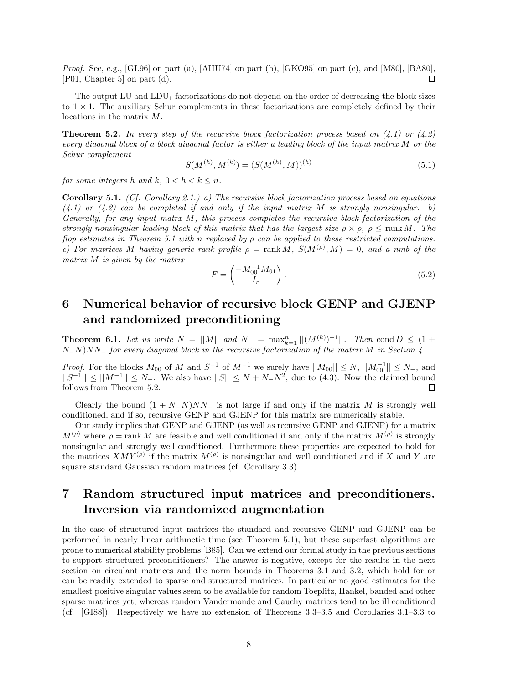*Proof.* See, e.g., [GL96] on part (a), [AHU74] on part (b), [GKO95] on part (c), and [M80], [BA80], [P01, Chapter 5] on part (d). 口

The output  $LU$  and  $LDU_1$  factorizations do not depend on the order of decreasing the block sizes to  $1 \times 1$ . The auxiliary Schur complements in these factorizations are completely defined by their locations in the matrix M.

**Theorem 5.2.** *In every step of the recursive block factorization process based on (4.1) or (4.2) every diagonal block of a block diagonal factor is either a leading block of the input matrix* M *or the Schur complement*

$$
S(M^{(h)}, M^{(k)}) = (S(M^{(h)}, M))^{(h)}
$$
\n(5.1)

*for some integers* h and k,  $0 < h < k \leq n$ .

**Corollary 5.1.** *(Cf. Corollary 2.1.) a) The recursive block factorization process based on equations (4.1) or (4.2) can be completed if and only if the input matrix* M *is strongly nonsingular. b) Generally, for any input matrx* M*, this process completes the recursive block factorization of the strongly nonsingular leading block of this matrix that has the largest size*  $\rho \times \rho$ ,  $\rho \leq \text{rank } M$ . The *flop estimates in Theorem 5.1 with* n *replaced by* ρ *can be applied to these restricted computations. c)* For matrices M having generic rank profile  $\rho = \text{rank } M$ ,  $S(M^{(\rho)}, M) = 0$ , and a nmb of the *matrix* M *is given by the matrix*

$$
F = \begin{pmatrix} -M_{00}^{-1}M_{01} \\ I_r \end{pmatrix}.
$$
 (5.2)

# **6 Numerical behavior of recursive block GENP and GJENP and randomized preconditioning**

**Theorem 6.1.** *Let us write*  $N = ||M||$  *and*  $N_{-} = \max_{k=1}^{n} ||(M^{(k)})^{-1}||$ *. Then* cond  $D \leq (1 +$ N−N)NN<sup>−</sup> *for every diagonal block in the recursive factorization of the matrix* M *in Section 4.*

*Proof.* For the blocks  $M_{00}$  of M and  $S^{-1}$  of  $M^{-1}$  we surely have  $||M_{00}|| \leq N$ ,  $||M_{00}^{-1}|| \leq N$ , and  $||S^{-1}|| \leq ||M^{-1}|| \leq N_{-}$ . We also have  $||S|| \leq N + N_{-}N^{2}$ , due to (4.3). Now the claimed bound follows from Theorem 5.2.

Clearly the bound  $(1 + N_N)NN_\perp$  is not large if and only if the matrix M is strongly well conditioned, and if so, recursive GENP and GJENP for this matrix are numerically stable.

Our study implies that GENP and GJENP (as well as recursive GENP and GJENP) for a matrix  $M^{(\rho)}$  where  $\rho = \text{rank } M$  are feasible and well conditioned if and only if the matrix  $M^{(\rho)}$  is strongly nonsingular and strongly well conditioned. Furthermore these properties are expected to hold for the matrices  $XMY^{(\rho)}$  if the matrix  $M^{(\rho)}$  is nonsingular and well conditioned and if X and Y are square standard Gaussian random matrices (cf. Corollary 3.3).

## **7 Random structured input matrices and preconditioners. Inversion via randomized augmentation**

In the case of structured input matrices the standard and recursive GENP and GJENP can be performed in nearly linear arithmetic time (see Theorem 5.1), but these superfast algorithms are prone to numerical stability problems [B85]. Can we extend our formal study in the previous sections to support structured preconditioners? The answer is negative, except for the results in the next section on circulant matrices and the norm bounds in Theorems 3.1 and 3.2, which hold for or can be readily extended to sparse and structured matrices. In particular no good estimates for the smallest positive singular values seem to be available for random Toeplitz, Hankel, banded and other sparse matrices yet, whereas random Vandermonde and Cauchy matrices tend to be ill conditioned (cf. [GI88]). Respectively we have no extension of Theorems 3.3–3.5 and Corollaries 3.1–3.3 to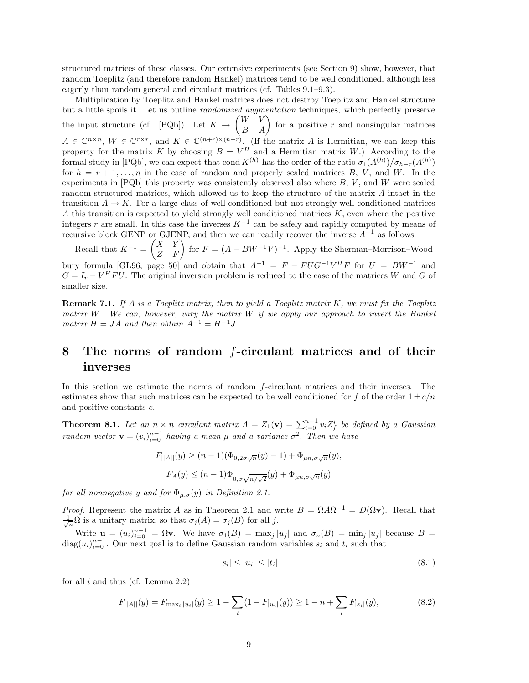structured matrices of these classes. Our extensive experiments (see Section 9) show, however, that random Toeplitz (and therefore random Hankel) matrices tend to be well conditioned, although less eagerly than random general and circulant matrices (cf. Tables 9.1–9.3).

Multiplication by Toeplitz and Hankel matrices does not destroy Toeplitz and Hankel structure but a little spoils it. Let us outline *randomized augmentation* techniques, which perfectly preserve the input structure (cf. [PQb]). Let  $K \to$  $\begin{pmatrix} W & V \\ B & A \end{pmatrix}$  for a positive r and nonsingular matrices  $A \in \mathbb{C}^{n \times n}$ ,  $W \in \mathbb{C}^{r \times r}$ , and  $K \in \mathbb{C}^{(n+r) \times (n+r)}$ . (If the matrix A is Hermitian, we can keep this property for the matrix K by choosing  $B = V^H$  and a Hermitian matrix W.) According to the formal study in [PQb], we can expect that cond  $K^{(h)}$  has the order of the ratio  $\sigma_1(A^{(h)})/\sigma_{h-r}(A^{(h)})$ for  $h = r + 1, \ldots, n$  in the case of random and properly scaled matrices B, V, and W. In the experiments in  $[PQb]$  this property was consistently observed also where  $B, V$ , and W were scaled random structured matrices, which allowed us to keep the structure of the matrix A intact in the transition  $A \to K$ . For a large class of well conditioned but not strongly well conditioned matrices A this transition is expected to yield strongly well conditioned matrices K, even where the positive integers r are small. In this case the inverses  $K^{-1}$  can be safely and rapidly computed by means of recursive block GENP or GJENP, and then we can readily recover the inverse  $A^{-1}$  as follows.

Recall that  $K^{-1} = \begin{pmatrix} X & Y \\ Z & F \end{pmatrix}$  for  $F = (A - BW^{-1}V)^{-1}$ . Apply the Sherman–Morrison–Woodbury formula [GL96, page 50] and obtain that  $A^{-1} = F - FUG^{-1}V^HF$  for  $U = BW^{-1}$  and  $G = I_r - V^H F U$ . The original inversion problem is reduced to the case of the matrices W and G of smaller size.

**Remark 7.1.** *If* A *is a Toeplitz matrix, then to yield a Toeplitz matrix* K*, we must fix the Toeplitz matrix* W*. We can, however, vary the matrix* W *if we apply our approach to invert the Hankel matrix*  $H = JA$  *and then obtain*  $A^{-1} = H^{-1}J$ .

## **8 The norms of random** *f***-circulant matrices and of their inverses**

In this section we estimate the norms of random f-circulant matrices and their inverses. The estimates show that such matrices can be expected to be well conditioned for f of the order  $1 \pm c/n$ and positive constants c.

**Theorem 8.1.** Let an  $n \times n$  circulant matrix  $A = Z_1(\mathbf{v}) = \sum_{i=0}^{n-1} v_i Z_f^i$  be defined by a Gaussian *random vector*  $\mathbf{v} = (v_i)_{i=0}^{n-1}$  *having a mean*  $\mu$  *and a variance*  $\sigma^2$ *. Then we have* 

$$
F_{||A||}(y) \ge (n-1)(\Phi_{0,2\sigma\sqrt{n}}(y) - 1) + \Phi_{\mu n,\sigma\sqrt{n}}(y),
$$
  

$$
F_A(y) \le (n-1)\Phi_{0,\sigma\sqrt{n/\sqrt{2}}}(y) + \Phi_{\mu n,\sigma\sqrt{n}}(y)
$$

*for all nonnegative* y and *for*  $\Phi_{\mu,\sigma}(y)$  *in Definition 2.1.* 

*Proof.* Represent the matrix A as in Theorem 2.1 and write  $B = \Omega A \Omega^{-1} = D(\Omega \mathbf{v})$ . Recall that  $\frac{1}{\sqrt{n}}\Omega$  is a unitary matrix, so that  $\sigma_j(A) = \sigma_j(B)$  for all j.

Write  $\mathbf{u} = (u_i)_{i=0}^{n-1} = \Omega \mathbf{v}$ . We have  $\sigma_1(B) = \max_j |u_j|$  and  $\sigma_n(B) = \min_j |u_j|$  because  $B =$  $diag(u_i)_{i=0}^{n-1}$ . Our next goal is to define Gaussian random variables  $s_i$  and  $t_i$  such that

$$
|s_i| \le |u_i| \le |t_i| \tag{8.1}
$$

for all  $i$  and thus (cf. Lemma 2.2)

$$
F_{||A||}(y) = F_{\max_i |u_i|}(y) \ge 1 - \sum_i (1 - F_{|u_i|}(y)) \ge 1 - n + \sum_i F_{|s_i|}(y),\tag{8.2}
$$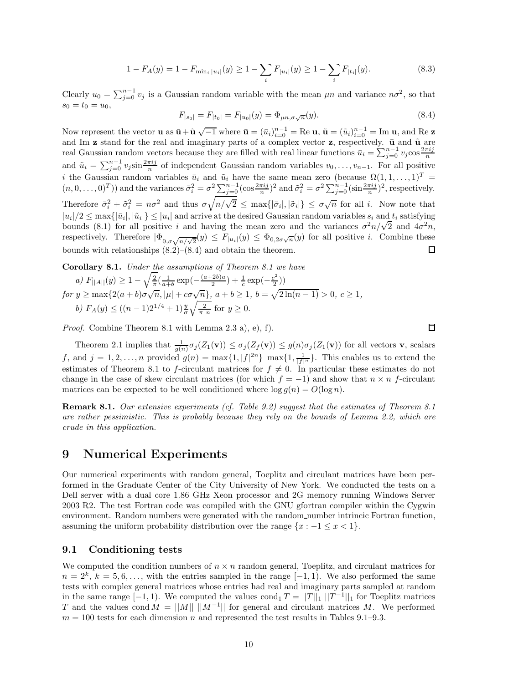$$
1 - F_A(y) = 1 - F_{\min_i |u_i|}(y) \ge 1 - \sum_i F_{|u_i|}(y) \ge 1 - \sum_i F_{|t_i|}(y).
$$
\n(8.3)

Clearly  $u_0 = \sum_{j=0}^{n-1} v_j$  is a Gaussian random variable with the mean  $\mu n$  and variance  $n\sigma^2$ , so that  $s_0 = t_0 = u_0,$ 

$$
F_{|s_0|} = F_{|t_0|} = F_{|u_0|}(y) = \Phi_{\mu n, \sigma \sqrt{n}}(y).
$$
\n(8.4)

Now represent the vector **u** as  $\bar{\mathbf{u}} + \tilde{\mathbf{u}} \sqrt{-1}$  where  $\bar{\mathbf{u}} = (\bar{u}_i)_{i=0}^{n-1} = \text{Re } \mathbf{u}, \, \tilde{\mathbf{u}} = (\tilde{u}_i)_{i=0}^{n-1} = \text{Im } \mathbf{u},$  and Re **z** and Im **z** stand for the real and imaginary parts of a complex vector **z**, respectively.  $\bar{u}$  and  $\tilde{u}$  are real Gaussian random vectors because they are filled with real linear functions  $\bar{u}_i = \sum_{j=0}^{n-1} v_j \cos \frac{$ and  $\tilde{u}_i = \sum_{j=0}^{n-1} v_j \sin \frac{2\pi i j}{n}$  of independent Gaussian random variables  $v_0, \ldots, v_{n-1}$ . For all positive i the Gaussian random variables  $\bar{u}_i$  and  $\tilde{u}_i$  have the same mean zero (because  $\Omega(1,1,\ldots,1)^T$  =  $(n, 0, \ldots, 0)^T)$  and the variances  $\bar{\sigma}_i^2 = \sigma^2 \sum_{j=0}^{n-1} (\cos \frac{2\pi i j}{n})^2$  and  $\tilde{\sigma}_i^2 = \sigma^2 \sum_{j=0}^{n-1} (\sin \frac{2\pi i j}{n})^2$ , respectively. Therefore  $\bar{\sigma}_i^2 + \tilde{\sigma}_i^2 = n\sigma^2$  and thus  $\sigma \sqrt{n/\sqrt{2}} \le \max\{|\bar{\sigma}_i|,|\tilde{\sigma}_i|\} \le \sigma \sqrt{n}$  for all *i*. Now note that  $|u_i|/2 \leq \max\{|\bar{u}_i|, |\tilde{u}_i|\} \leq |u_i|$  and arrive at the desired Gaussian random variables  $s_i$  and  $t_i$  satisfying  $|u_i|/2 \leq \max\{|u_i|, |u_i|\} \leq |u_i|$  and arrive at the desired Gaussian random variables  $s_i$  and  $t_i$  satisfying bounds (8.1) for all positive i and having the mean zero and the variances  $\sigma^2 n/\sqrt{2}$  and  $4\sigma^2 n$ , respectively. Therefore  $|\Phi_{0,\sigma\sqrt{n/\sqrt{2}}}(y)| \leq F_{|u_i|}(y) \leq \Phi_{0,2\sigma\sqrt{n}}(y)$  for all positive *i*. Combine these bounds with relationships (8.2)–(8.4) and obtain the theorem.  $\Box$ 

**Corollary 8.1.** *Under the assumptions of Theorem 8.1 we have*

a) 
$$
F_{||A||}(y) \ge 1 - \sqrt{\frac{2}{\pi}} \left( \frac{1}{a+b} \exp\left(-\frac{(a+2b)a}{2}\right) + \frac{1}{c} \exp\left(-\frac{c^2}{2}\right) \right)
$$
  
for  $y \ge \max\{2(a+b)\sigma\sqrt{n}, |\mu| + c\sigma\sqrt{n}\}$ ,  $a+b \ge 1$ ,  $b = \sqrt{2\ln(n-1)} > 0$ ,  $c \ge 1$ ,  
b)  $F_A(y) \le ((n-1)2^{1/4} + 1) \frac{y}{\sigma} \sqrt{\frac{2}{\pi n}}$  for  $y \ge 0$ .

*Proof.* Combine Theorem 8.1 with Lemma 2.3 a), e), f).

Theorem 2.1 implies that  $\frac{1}{g(n)}\sigma_j(Z_1(\mathbf{v})) \leq \sigma_j(Z_f(\mathbf{v})) \leq g(n)\sigma_j(Z_1(\mathbf{v}))$  for all vectors **v**, scalars f, and  $j = 1, 2, ..., n$  provided  $g(n) = \max\{1, |f|^{2n}\}\max\{1, \frac{1}{|f|^n}\}\)$ . This enables us to extend the estimates of Theorem 8.1 to f-circulant matrices for  $f \neq 0$ . In particular these estimates do not change in the case of skew circulant matrices (for which  $f = -1$ ) and show that  $n \times n$  f-circulant matrices can be expected to be well conditioned where  $\log g(n) = O(\log n)$ .

**Remark 8.1.** *Our extensive experiments (cf. Table 9.2) suggest that the estimates of Theorem 8.1 are rather pessimistic. This is probably because they rely on the bounds of Lemma 2.2, which are crude in this application.*

## **9 Numerical Experiments**

Our numerical experiments with random general, Toeplitz and circulant matrices have been performed in the Graduate Center of the City University of New York. We conducted the tests on a Dell server with a dual core 1.86 GHz Xeon processor and 2G memory running Windows Server 2003 R2. The test Fortran code was compiled with the GNU gfortran compiler within the Cygwin environment. Random numbers were generated with the random number intrincic Fortran function, assuming the uniform probability distribution over the range  $\{x : -1 \leq x < 1\}.$ 

### **9.1 Conditioning tests**

We computed the condition numbers of  $n \times n$  random general, Toeplitz, and circulant matrices for  $n = 2^k$ ,  $k = 5, 6, \ldots$ , with the entries sampled in the range [-1, 1). We also performed the same tests with complex general matrices whose entries had real and imaginary parts sampled at random in the same range  $[-1, 1)$ . We computed the values cond<sub>1</sub>  $T = ||T||_1 ||T^{-1}||_1$  for Toeplitz matrices T and the values cond  $M = ||M|| \, ||M^{-1}||$  for general and circulant matrices M. We performed  $m = 100$  tests for each dimension n and represented the test results in Tables 9.1–9.3.

 $\Box$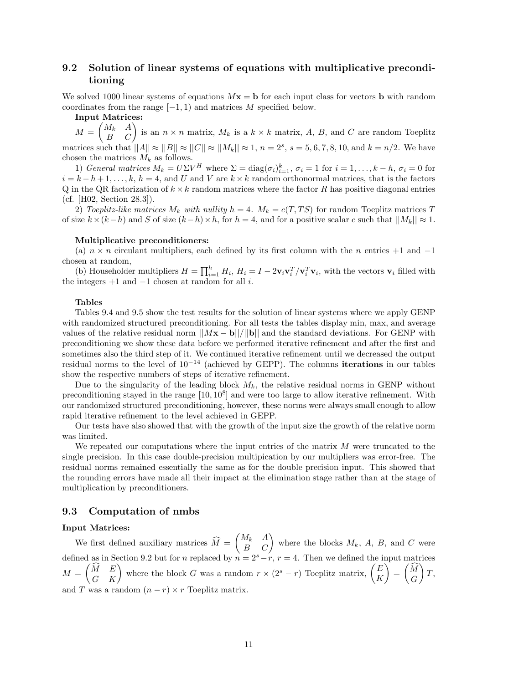### **9.2 Solution of linear systems of equations with multiplicative preconditioning**

We solved 1000 linear systems of equations  $Mx = b$  for each input class for vectors **b** with random coordinates from the range  $[-1, 1)$  and matrices M specified below.

**Input Matrices:**

 $M =$  $\begin{pmatrix} M_k & A \\ B & C \end{pmatrix}$  is an  $n \times n$  matrix,  $M_k$  is a  $k \times k$  matrix, A, B, and C are random Toeplitz matrices such that  $||A|| \approx ||B|| \approx ||C|| \approx ||M_k|| \approx 1, n = 2^s, s = 5, 6, 7, 8, 10,$  and  $k = n/2$ . We have chosen the matrices  $M_k$  as follows.

1) *General matrices*  $M_k = U\Sigma V^H$  where  $\Sigma = \text{diag}(\sigma_i)_{i=1}^k$ ,  $\sigma_i = 1$  for  $i = 1, ..., k - h$ ,  $\sigma_i = 0$  for  $i = k - h + 1, \ldots, k, h = 4$ , and U and V are  $k \times k$  random orthonormal matrices, that is the factors Q in the QR factorization of  $k \times k$  random matrices where the factor R has positive diagonal entries (cf. [H02, Section 28.3]).

2) *Toeplitz-like matrices*  $M_k$  *with nullity*  $h = 4$ *.*  $M_k = c(T, TS)$  for random Toeplitz matrices T of size  $k \times (k-h)$  and S of size  $(k-h) \times h$ , for  $h = 4$ , and for a positive scalar c such that  $||M_k|| \approx 1$ .

#### **Multiplicative preconditioners:**

(a)  $n \times n$  circulant multipliers, each defined by its first column with the n entries +1 and -1 chosen at random,

(b) Householder multipliers  $H = \prod_{i=1}^{h} H_i$ ,  $H_i = I - 2\mathbf{v}_i\mathbf{v}_i^T/\mathbf{v}_i^T\mathbf{v}_i$ , with the vectors  $\mathbf{v}_i$  filled with the integers  $+1$  and  $-1$  chosen at random for all *i*.

#### **Tables**

Tables 9.4 and 9.5 show the test results for the solution of linear systems where we apply GENP with randomized structured preconditioning. For all tests the tables display min, max, and average values of the relative residual norm  $||Mx - b||/||b||$  and the standard deviations. For GENP with preconditioning we show these data before we performed iterative refinement and after the first and sometimes also the third step of it. We continued iterative refinement until we decreased the output residual norms to the level of 10−<sup>14</sup> (achieved by GEPP). The columns **iterations** in our tables show the respective numbers of steps of iterative refinement.

Due to the singularity of the leading block  $M_k$ , the relative residual norms in GENP without preconditioning stayed in the range  $[10, 10^8]$  and were too large to allow iterative refinement. With our randomized structured preconditioning, however, these norms were always small enough to allow rapid iterative refinement to the level achieved in GEPP.

Our tests have also showed that with the growth of the input size the growth of the relative norm was limited.

We repeated our computations where the input entries of the matrix  $M$  were truncated to the single precision. In this case double-precision multipication by our multipliers was error-free. The residual norms remained essentially the same as for the double precision input. This showed that the rounding errors have made all their impact at the elimination stage rather than at the stage of multiplication by preconditioners.

### **9.3 Computation of nmbs**

### **Input Matrices:**

We first defined auxiliary matrices  $M =$  $\begin{pmatrix} M_k & A \\ B & C \end{pmatrix}$  where the blocks  $M_k$ , A, B, and C were defined as in Section 9.2 but for n replaced by  $n = 2<sup>s</sup> - r$ ,  $r = 4$ . Then we defined the input matrices  $M =$  $\begin{pmatrix} \widehat{M} & E \end{pmatrix}$  $\begin{pmatrix} \widehat{M} & E \\ G & K \end{pmatrix}$  where the block G was a random  $r \times (2^s - r)$  Toeplitz matrix,  $\begin{pmatrix} E \\ K \end{pmatrix}$ K  $\sqrt{2}$ =  $\begin{pmatrix} \widehat{M} \\ G \end{pmatrix}$ <sup>1</sup>  $\overline{T},$ and T was a random  $(n - r) \times r$  Toeplitz matrix.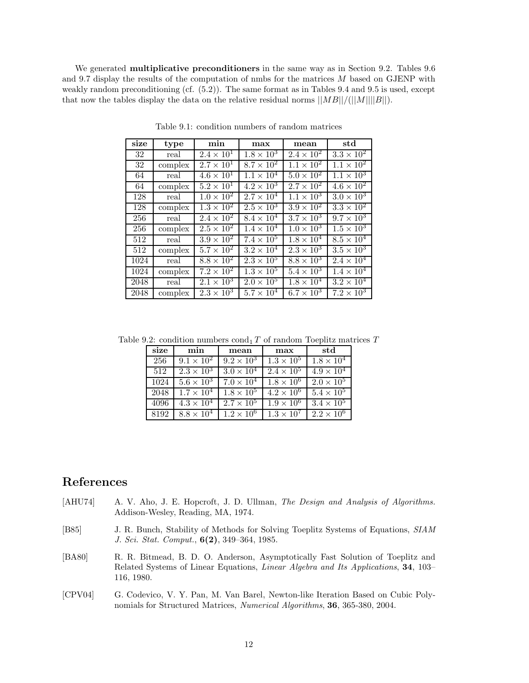We generated **multiplicative preconditioners** in the same way as in Section 9.2. Tables 9.6 and 9.7 display the results of the computation of nmbs for the matrices M based on GJENP with weakly random preconditioning (cf.  $(5.2)$ ). The same format as in Tables 9.4 and 9.5 is used, except that now the tables display the data on the relative residual norms  $||MB||/(||M||||B||)$ .

| size | type    | min                 | max                 | $_{\rm mean}$       | $_{\rm std}$        |
|------|---------|---------------------|---------------------|---------------------|---------------------|
| 32   | real    | $2.4 \times 10^{1}$ | $1.8 \times 10^{3}$ | $2.4 \times 10^{2}$ | $3.3 \times 10^{2}$ |
| 32   | complex | $2.7 \times 10^1$   | $8.7 \times 10^2$   | $1.1 \times 10^{2}$ | $1.1 \times 10^{2}$ |
| 64   | real    | $4.6 \times 10^{1}$ | $1.1 \times 10^{4}$ | $5.0 \times 10^{2}$ | $1.1 \times 10^3$   |
| 64   | complex | $5.2 \times 10^{1}$ | $4.2 \times 10^3$   | $2.7 \times 10^{2}$ | $4.6 \times 10^2$   |
| 128  | real    | $1.0 \times 10^{2}$ | $2.7 \times 10^{4}$ | $1.1 \times 10^{3}$ | $3.0 \times 10^3$   |
| 128  | complex | $1.3 \times 10^2$   | $2.5 \times 10^3$   | $3.9 \times 10^2$   | $3.3 \times 10^2$   |
| 256  | real    | $2.4 \times 10^{2}$ | $8.4 \times 10^4$   | $3.7 \times 10^3$   | $9.7 \times 10^3$   |
| 256  | complex | $2.5 \times 10^{2}$ | $1.4 \times 10^{4}$ | $1.0 \times 10^{3}$ | $1.5 \times 10^3$   |
| 512  | real    | $3.9 \times 10^2$   | $7.4 \times 10^5$   | $1.8 \times 10^{4}$ | $8.5 \times 10^{4}$ |
| 512  | complex | $5.7 \times 10^2$   | $3.2 \times 10^{4}$ | $2.3 \times 10^3$   | $3.5 \times 10^3$   |
| 1024 | real    | $8.8 \times 10^{2}$ | $2.3 \times 10^{5}$ | $8.8 \times 10^3$   | $2.4 \times 10^{4}$ |
| 1024 | complex | $7.2 \times 10^{2}$ | $1.3 \times 10^{5}$ | $5.4 \times 10^3$   | $1.4 \times 10^{4}$ |
| 2048 | real    | $2.1 \times 10^{3}$ | $2.0 \times 10^{5}$ | $1.8 \times 10^4$   | $3.2 \times 10^{4}$ |
| 2048 | complex | $2.3 \times 10^{3}$ | $5.7 \times 10^{4}$ | $6.7 \times 10^3$   | $7.2 \times 10^3$   |

Table 9.1: condition numbers of random matrices

Table 9.2: condition numbers  $\text{cond}_1 T$  of random Toeplitz matrices  $T$ 

| size | min                 | mean                | max                 | std                 |
|------|---------------------|---------------------|---------------------|---------------------|
| 256  | $9.1 \times 10^{2}$ | $9.2 \times 10^{3}$ | $1.3 \times 10^5$   | $1.8 \times 10^{4}$ |
| 512  | $2.3 \times 10^3$   | $3.0 \times 10^{4}$ | $2.4 \times 10^{5}$ | $4.9 \times 10^{4}$ |
| 1024 | $5.6 \times 10^3$   | $7.0 \times 10^{4}$ | $1.8 \times 10^{6}$ | $2.0 \times 10^{5}$ |
| 2048 | $1.7 \times 10^{4}$ | $1.8 \times 10^{5}$ | $4.2 \times 10^6$   | $5.4 \times 10^{5}$ |
| 4096 | $4.3 \times 10^{4}$ | $2.7 \times 10^{5}$ | $1.9 \times 10^{6}$ | $3.4 \times 10^5$   |
| 8192 | $8.8 \times 10^{4}$ | $1.2 \times 10^6$   | $1.3 \times 10^7$   | $2.2 \times 10^6$   |

### **References**

- [AHU74] A. V. Aho, J. E. Hopcroft, J. D. Ullman, *The Design and Analysis of Algorithms.* Addison-Wesley, Reading, MA, 1974.
- [B85] J. R. Bunch, Stability of Methods for Solving Toeplitz Systems of Equations, *SIAM J. Sci. Stat. Comput.*, **6(2)**, 349–364, 1985.
- [BA80] R. R. Bitmead, B. D. O. Anderson, Asymptotically Fast Solution of Toeplitz and Related Systems of Linear Equations, *Linear Algebra and Its Applications*, **34**, 103– 116, 1980.
- [CPV04] G. Codevico, V. Y. Pan, M. Van Barel, Newton-like Iteration Based on Cubic Polynomials for Structured Matrices, *Numerical Algorithms*, **36**, 365-380, 2004.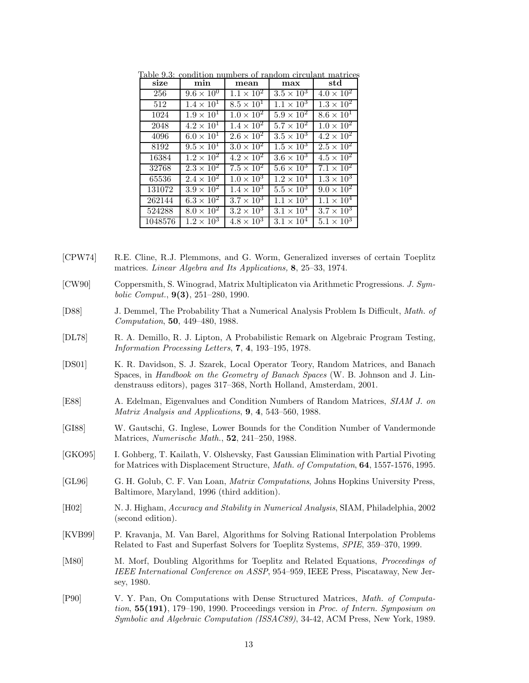| size    | min                 | mean                | max                 | $_{\rm std}$        |
|---------|---------------------|---------------------|---------------------|---------------------|
| 256     | $9.6 \times 10^{0}$ | $1.1 \times 10^{2}$ | $3.5 \times 10^{3}$ | $4.0 \times 10^{2}$ |
| 512     | $1.4 \times 10^{1}$ | $8.5 \times 10^{1}$ | $1.1 \times 10^{3}$ | $1.3 \times 10^2$   |
| 1024    | $1.9 \times 10^{1}$ | $1.0 \times 10^{2}$ | $5.9 \times 10^{2}$ | $8.6 \times 10^{1}$ |
| 2048    | $4.2 \times 10^{1}$ | $1.4 \times 10^2$   | $5.7 \times 10^2$   | $1.0 \times 10^{2}$ |
| 4096    | $6.0 \times 10^{1}$ | $2.6 \times 10^2$   | $3.5 \times 10^3$   | $4.2 \times 10^{2}$ |
| 8192    | $9.5 \times 10^{1}$ | $3.0 \times 10^2$   | $1.5 \times 10^{3}$ | $2.5 \times 10^{2}$ |
| 16384   | $1.2 \times 10^{2}$ | $4.2 \times 10^{2}$ | $3.6 \times 10^3$   | $4.5 \times 10^{2}$ |
| 32768   | $2.3 \times 10^2$   | $7.5 \times 10^{2}$ | $5.6 \times 10^3$   | $7.1 \times 10^{2}$ |
| 65536   | $2.4 \times 10^2$   | $1.0 \times 10^{3}$ | $1.2 \times 10^{4}$ | $1.3 \times 10^3$   |
| 131072  | $3.9 \times 10^2$   | $1.4 \times 10^3$   | $5.5 \times 10^3$   | $9.0 \times 10^{2}$ |
| 262144  | $6.3 \times 10^2$   | $3.7\times10^3$     | $1.1 \times 10^{5}$ | $1.1 \times 10^{4}$ |
| 524288  | $8.0 \times 10^2$   | $3.2 \times 10^3$   | $3.1 \times 10^{4}$ | $3.7 \times 10^3$   |
| 1048576 | $1.2 \times 10^3$   | $4.8 \times 10^{3}$ | $3.1 \times 10^{4}$ | $5.1 \times 10^3$   |

Table 9.3: condition numbers of random circulant matrices

- [CPW74] R.E. Cline, R.J. Plemmons, and G. Worm, Generalized inverses of certain Toeplitz matrices. *Linear Algebra and Its Applications,* **8**, 25–33, 1974.
- [CW90] Coppersmith, S. Winograd, Matrix Multiplicaton via Arithmetic Progressions. *J. Symbolic Comput.*, **9(3)**, 251–280, 1990.
- [D88] J. Demmel, The Probability That a Numerical Analysis Problem Is Difficult, *Math. of Computation*, **50**, 449–480, 1988.
- [DL78] R. A. Demillo, R. J. Lipton, A Probabilistic Remark on Algebraic Program Testing, *Information Processing Letters*, **7**, **4**, 193–195, 1978.
- [DS01] K. R. Davidson, S. J. Szarek, Local Operator Teory, Random Matrices, and Banach Spaces, in *Handbook on the Geometry of Banach Spaces* (W. B. Johnson and J. Lindenstrauss editors), pages 317–368, North Holland, Amsterdam, 2001.
- [E88] A. Edelman, Eigenvalues and Condition Numbers of Random Matrices, *SIAM J. on Matrix Analysis and Applications*, **9**, **4**, 543–560, 1988.
- [GI88] W. Gautschi, G. Inglese, Lower Bounds for the Condition Number of Vandermonde Matrices, *Numerische Math.*, **52**, 241–250, 1988.
- [GKO95] I. Gohberg, T. Kailath, V. Olshevsky, Fast Gaussian Elimination with Partial Pivoting for Matrices with Displacement Structure, *Math. of Computation*, **64**, 1557-1576, 1995.
- [GL96] G. H. Golub, C. F. Van Loan, *Matrix Computations*, Johns Hopkins University Press, Baltimore, Maryland, 1996 (third addition).
- [H02] N. J. Higham, *Accuracy and Stability in Numerical Analysis*, SIAM, Philadelphia, 2002 (second edition).
- [KVB99] P. Kravanja, M. Van Barel, Algorithms for Solving Rational Interpolation Problems Related to Fast and Superfast Solvers for Toeplitz Systems, *SPIE*, 359–370, 1999.
- [M80] M. Morf, Doubling Algorithms for Toeplitz and Related Equations, *Proceedings of IEEE International Conference on ASSP*, 954–959, IEEE Press, Piscataway, New Jersey, 1980.
- [P90] V. Y. Pan, On Computations with Dense Structured Matrices, *Math. of Computation*, **55(191)**, 179–190, 1990. Proceedings version in *Proc. of Intern. Symposium on Symbolic and Algebraic Computation (ISSAC89)*, 34-42, ACM Press, New York, 1989.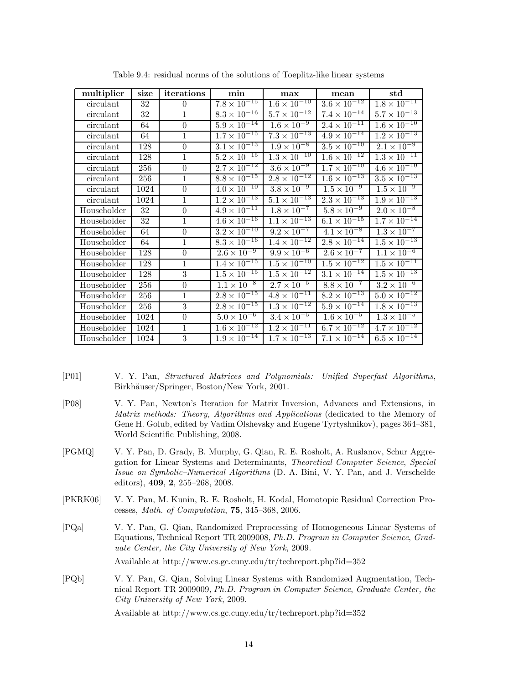| multiplier  | size | iterations       | min                              | max                   | mean                             | $_{\rm std}$                     |
|-------------|------|------------------|----------------------------------|-----------------------|----------------------------------|----------------------------------|
| circulant   | 32   | $\theta$         | $7.8 \times 10^{-15}$            | $1.6 \times 10^{-10}$ | $3.6 \times 10^{-12}$            | $1.8 \times 10^{-11}$            |
| circulant   | 32   | $\mathbf{1}$     | $8.3 \times 10^{-16}$            | $5.7 \times 10^{-12}$ | $7.4 \times 10^{-14}$            | $5.7 \times 10^{-13}$            |
| circulant   | 64   | $\overline{0}$   | $5.9 \times 10^{-14}$            | $1.6 \times 10^{-9}$  | $2.\overline{4 \times 10^{-11}}$ | $1.6 \times 10^{-10}$            |
| circulant   | 64   | $\mathbf{1}$     | $1.7 \times 10^{-15}$            | $7.3 \times 10^{-13}$ | $4.9 \times 10^{-14}$            | $1.2 \times 10^{-13}$            |
| circulant   | 128  | $\overline{0}$   | $3.1 \times 10^{-13}$            | $1.9 \times 10^{-8}$  | $3.5 \times 10^{-10}$            | $2.1 \times 10^{-9}$             |
| circulant   | 128  | $\mathbf{1}$     | $5.2 \times 10^{-15}$            | $1.3 \times 10^{-10}$ | $1.6 \times 10^{-12}$            | $1.3 \times 10^{-11}$            |
| circulant   | 256  | $\boldsymbol{0}$ | $2.7 \times 10^{-12}$            | $3.6 \times 10^{-9}$  | $1.7 \times 10^{-10}$            | $4.6 \times 10^{-10}$            |
| circulant   | 256  | $\mathbf{1}$     | $8.8 \times 10^{-15}$            | $2.8 \times 10^{-12}$ | $1.\overline{6 \times 10^{-13}}$ | $3.5 \times 10^{-13}$            |
| circulant   | 1024 | $\theta$         | $4.0 \times 10^{-10}$            | $3.8 \times 10^{-9}$  | $1.\overline{5 \times 10^{-9}}$  | $1.5 \times 10^{-9}$             |
| circulant   | 1024 | $\mathbf{1}$     | $1.2 \times 10^{-13}$            | $5.1 \times 10^{-13}$ | $2.3 \times 10^{-13}$            | $1.9 \times 10^{-13}$            |
| Householder | 32   | $\theta$         | $4.9 \times 10^{-11}$            | $1.8 \times 10^{-7}$  | $5.8 \times 10^{-9}$             | $2.0 \times 10^{-8}$             |
| Householder | 32   | $\mathbf{1}$     | $4.6 \times 10^{-16}$            | $1.1 \times 10^{-13}$ | $6.1 \times 10^{-15}$            | $1.7 \times 10^{-14}$            |
| Householder | 64   | $\overline{0}$   | $3.\overline{2 \times 10^{-10}}$ | $9.2 \times 10^{-7}$  | $4.1 \times 10^{-8}$             | $1.3 \times 10^{-7}$             |
| Householder | 64   | $\mathbf{1}$     | $8.3 \times 10^{-16}$            | $1.4 \times 10^{-12}$ | $2.8 \times 10^{-14}$            | $1.5 \times 10^{-13}$            |
| Householder | 128  | $\boldsymbol{0}$ | $2.6 \times 10^{-9}$             | $9.9 \times 10^{-6}$  | $2.6 \times 10^{-7}$             | $1.1 \times 10^{-6}$             |
| Householder | 128  | 1                | $1.4 \times 10^{-15}$            | $1.5 \times 10^{-10}$ | $1.5 \times 10^{-12}$            | $1.5 \times 10^{-11}$            |
| Householder | 128  | $\boldsymbol{3}$ | $1.5 \times 10^{-15}$            | $1.5 \times 10^{-12}$ | $3.1 \times \overline{10^{-14}}$ | $1.\overline{5 \times 10^{-13}}$ |
| Householder | 256  | $\overline{0}$   | $1.1 \times 10^{-8}$             | $2.7 \times 10^{-5}$  | $8.8 \times 10^{-7}$             | $3.2 \times 10^{-6}$             |
| Householder | 256  | $\mathbf{1}$     | $2.8 \times 10^{-15}$            | $4.8 \times 10^{-11}$ | $8.2 \times 10^{-13}$            | $5.0 \times 10^{-12}$            |
| Householder | 256  | $\boldsymbol{3}$ | $2.8 \times 10^{-15}$            | $1.3 \times 10^{-12}$ | $5.9 \times 10^{-14}$            | $1.8 \times 10^{-13}$            |
| Householder | 1024 | $\overline{0}$   | $5.0 \times 10^{-6}$             | $3.4 \times 10^{-5}$  | $1.6 \times 10^{-5}$             | $1.3 \times 10^{-5}$             |
| Householder | 1024 | $\mathbf{1}$     | $1.6 \times 10^{-12}$            | $1.2 \times 10^{-11}$ | $6.7 \times 10^{-12}$            | $4.7 \times 10^{-12}$            |
| Householder | 1024 | $\overline{3}$   | $1.9 \times 10^{-14}$            | $1.7 \times 10^{-13}$ | $7.1 \times 10^{-14}$            | $6.5 \times 10^{-14}$            |

Table 9.4: residual norms of the solutions of Toeplitz-like linear systems

- [P01] V. Y. Pan, *Structured Matrices and Polynomials: Unified Superfast Algorithms*, Birkhäuser/Springer, Boston/New York, 2001.
- [P08] V. Y. Pan, Newton's Iteration for Matrix Inversion, Advances and Extensions, in *Matrix methods: Theory, Algorithms and Applications* (dedicated to the Memory of Gene H. Golub, edited by Vadim Olshevsky and Eugene Tyrtyshnikov), pages 364–381, World Scientific Publishing, 2008.
- [PGMQ] V. Y. Pan, D. Grady, B. Murphy, G. Qian, R. E. Rosholt, A. Ruslanov, Schur Aggregation for Linear Systems and Determinants, *Theoretical Computer Science*, *Special Issue on Symbolic–Numerical Algorithms* (D. A. Bini, V. Y. Pan, and J. Verschelde editors), **409**, **2**, 255–268, 2008.
- [PKRK06] V. Y. Pan, M. Kunin, R. E. Rosholt, H. Kodal, Homotopic Residual Correction Processes, *Math. of Computation*, **75**, 345–368, 2006.
- [PQa] V. Y. Pan, G. Qian, Randomized Preprocessing of Homogeneous Linear Systems of Equations, Technical Report TR 2009008, *Ph.D. Program in Computer Science*, *Graduate Center, the City University of New York*, 2009.

Available at http://www.cs.gc.cuny.edu/tr/techreport.php?id=352

[PQb] V. Y. Pan, G. Qian, Solving Linear Systems with Randomized Augmentation, Technical Report TR 2009009, *Ph.D. Program in Computer Science*, *Graduate Center, the City University of New York*, 2009.

Available at http://www.cs.gc.cuny.edu/tr/techreport.php?id=352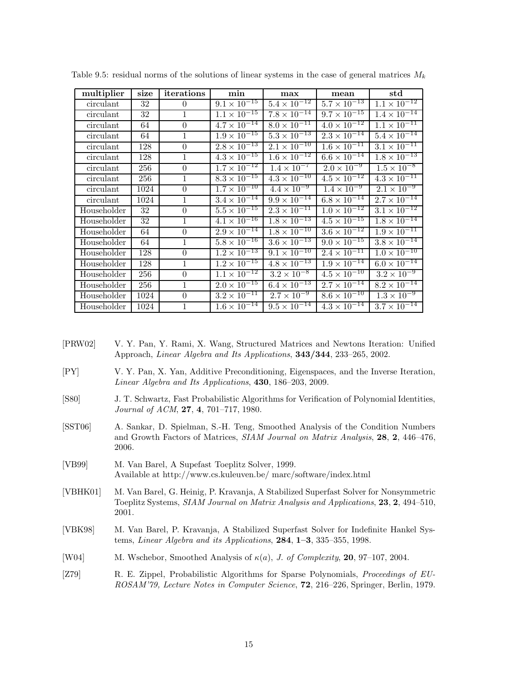| multiplier  | size | iterations     | min                              | max                   | mean                             | $_{\rm std}$                     |
|-------------|------|----------------|----------------------------------|-----------------------|----------------------------------|----------------------------------|
| circulant   | 32   | $\theta$       | $9.1 \times 10^{-15}$            | $5.4 \times 10^{-12}$ | $5.7 \times 10^{-13}$            | $1.1 \times 10^{-12}$            |
| circulant   | 32   | $\mathbf{1}$   | $1.1 \times 10^{-15}$            | $7.8 \times 10^{-14}$ | $9.7 \times 10^{-15}$            | $1.\overline{4 \times 10^{-14}}$ |
| circulant   | 64   | $\Omega$       | $4.7 \times \overline{10^{-14}}$ | $8.0 \times 10^{-11}$ | $4.0 \times 10^{-12}$            | $1.\overline{1 \times 10^{-11}}$ |
| circulant   | 64   | $\mathbf{1}$   | $1.9 \times 10^{-15}$            | $5.3 \times 10^{-13}$ | $2.3 \times 10^{-14}$            | $5.4 \times 10^{-14}$            |
| circulant   | 128  | $\Omega$       | $2.8 \times 10^{-13}$            | $2.1 \times 10^{-10}$ | $1.6 \times 10^{-11}$            | $3.1 \times 10^{-11}$            |
| circulant   | 128  | $\mathbf{1}$   | $4.\overline{3 \times 10^{-15}}$ | $1.6 \times 10^{-12}$ | $6.6 \times 10^{-14}$            | $1.8 \times 10^{-13}$            |
| circulant   | 256  | $\Omega$       | $1.7 \times 10^{-12}$            | $1.4 \times 10^{-7}$  | $2.0 \times 10^{-9}$             | $1.5 \times 10^{-8}$             |
| circulant   | 256  | $\mathbf{1}$   | $8.3 \times 10^{-15}$            | $4.3 \times 10^{-10}$ | $4.5 \times 10^{-12}$            | $4.3 \times 10^{-11}$            |
| circulant   | 1024 | $\theta$       | $1.7 \times 10^{-10}$            | $4.4 \times 10^{-9}$  | $1.4 \times 10^{-9}$             | $2.1 \times 10^{-9}$             |
| circulant   | 1024 | $\mathbf{1}$   | $3.4 \times 10^{-14}$            | $9.9 \times 10^{-14}$ | $6.8 \times 10^{-14}$            | $2.7 \times 10^{-14}$            |
| Householder | 32   | $\overline{0}$ | $5.5 \times 10^{-15}$            | $2.3 \times 10^{-11}$ | $1.0 \times 10^{-12}$            | $3.1 \times 10^{-12}$            |
| Householder | 32   | 1              | $4.1 \times 10^{-16}$            | $1.8 \times 10^{-13}$ | $4.\overline{5 \times 10^{-15}}$ | $1.8 \times 10^{-14}$            |
| Householder | 64   | $\overline{0}$ | $2.9 \times 10^{-14}$            | $1.8 \times 10^{-10}$ | $3.6 \times 10^{-12}$            | $1.9 \times 10^{-11}$            |
| Householder | 64   | 1              | $5.8 \times 10^{-16}$            | $3.6 \times 10^{-13}$ | $9.0 \times 10^{-15}$            | $3.8 \times 10^{-14}$            |
| Householder | 128  | $\theta$       | $1.2 \times 10^{-13}$            | $9.1 \times 10^{-10}$ | $2.4 \times 10^{-11}$            | $1.0 \times 10^{-10}$            |
| Householder | 128  | $\mathbf{1}$   | $1.2 \times 10^{-15}$            | $4.8 \times 10^{-13}$ | $1.9 \times 10^{-14}$            | $6.0 \times 10^{-14}$            |
| Householder | 256  | $\overline{0}$ | $1.1 \times 10^{-12}$            | $3.2 \times 10^{-8}$  | $4.5 \times 10^{-10}$            | $3.2 \times 10^{-9}$             |
| Householder | 256  | $\mathbf{1}$   | $2.0 \times 10^{-15}$            | $6.4 \times 10^{-13}$ | $2.7 \times 10^{-14}$            | $8.2 \times 10^{-14}$            |
| Householder | 1024 | $\theta$       | $3.2 \times 10^{-11}$            | $2.7 \times 10^{-9}$  | $8.6 \times 10^{-10}$            | $1.3 \times 10^{-9}$             |
| Householder | 1024 | $\mathbf{1}$   | $1.6 \times \overline{10^{-14}}$ | $9.5 \times 10^{-14}$ | $4.3 \times 10^{-14}$            | $3.7 \times 10^{-14}$            |

Table 9.5: residual norms of the solutions of linear systems in the case of general matrices  $M_k$ 

- [PRW02] V. Y. Pan, Y. Rami, X. Wang, Structured Matrices and Newtons Iteration: Unified Approach, *Linear Algebra and Its Applications*, **343/344**, 233–265, 2002.
- [PY] V. Y. Pan, X. Yan, Additive Preconditioning, Eigenspaces, and the Inverse Iteration, *Linear Algebra and Its Applications*, **430**, 186–203, 2009.
- [S80] J. T. Schwartz, Fast Probabilistic Algorithms for Verification of Polynomial Identities, *Journal of ACM*, **27**, **4**, 701–717, 1980.
- [SST06] A. Sankar, D. Spielman, S.-H. Teng, Smoothed Analysis of the Condition Numbers and Growth Factors of Matrices, *SIAM Journal on Matrix Analysis*, **28**, **2**, 446–476, 2006.
- [VB99] M. Van Barel, A Supefast Toeplitz Solver, 1999. Available at http://www.cs.kuleuven.be/ marc/software/index.html
- [VBHK01] M. Van Barel, G. Heinig, P. Kravanja, A Stabilized Superfast Solver for Nonsymmetric Toeplitz Systems, *SIAM Journal on Matrix Analysis and Applications*, **23**, **2**, 494–510, 2001.
- [VBK98] M. Van Barel, P. Kravanja, A Stabilized Superfast Solver for Indefinite Hankel Systems, *Linear Algebra and its Applications*, **284**, **1–3**, 335–355, 1998.
- [W04] M. Wschebor, Smoothed Analysis of κ(a), *J. of Complexity*, **20**, 97–107, 2004.
- [Z79] R. E. Zippel, Probabilistic Algorithms for Sparse Polynomials, *Proceedings of EU-ROSAM'79, Lecture Notes in Computer Science*, **72**, 216–226, Springer, Berlin, 1979.